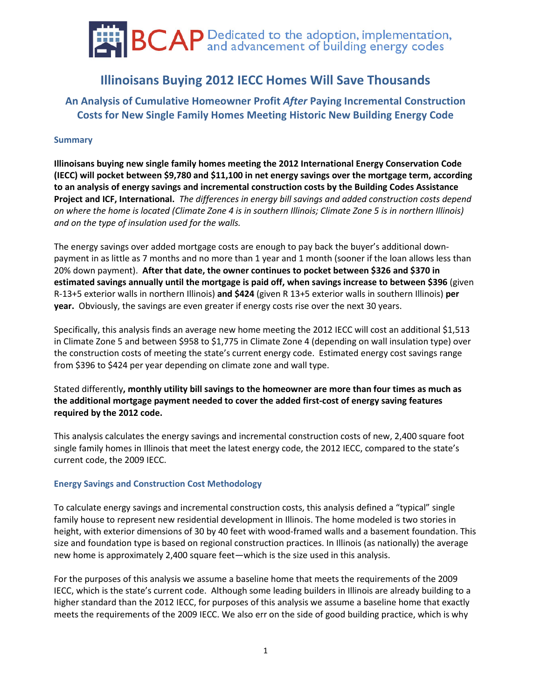# **BCAP** Dedicated to the adoption, implementation,

## **Illinoisans Buying 2012 IECC Homes Will Save Thousands**

### **An Analysis of Cumulative Homeowner Profit** *After* **Paying Incremental Construction Costs for New Single Family Homes Meeting Historic New Building Energy Code**

#### **Summary**

**Illinoisans buying new single family homes meeting the 2012 International Energy Conservation Code (IECC) will pocket between \$9,780 and \$11,100 in net energy savings over the mortgage term, according to an analysis of energy savings and incremental construction costs by the Building Codes Assistance Project and ICF, International.** *The differences in energy bill savings and added construction costs depend on where the home is located (Climate Zone 4 is in southern Illinois; Climate Zone 5 is in northern Illinois) and on the type of insulation used for the walls.*

The energy savings over added mortgage costs are enough to pay back the buyer's additional downpayment in as little as 7 months and no more than 1 year and 1 month (sooner if the loan allows less than 20% down payment). **After that date, the owner continues to pocket between \$326 and \$370 in estimated savings annually until the mortgage is paid off, when savings increase to between \$396** (given R-13+5 exterior walls in northern Illinois) **and \$424** (given R 13+5 exterior walls in southern Illinois) **per year.** Obviously, the savings are even greater if energy costs rise over the next 30 years.

Specifically, this analysis finds an average new home meeting the 2012 IECC will cost an additional \$1,513 in Climate Zone 5 and between \$958 to \$1,775 in Climate Zone 4 (depending on wall insulation type) over the construction costs of meeting the state's current energy code. Estimated energy cost savings range from \$396 to \$424 per year depending on climate zone and wall type.

Stated differently**, monthly utility bill savings to the homeowner are more than four times as much as the additional mortgage payment needed to cover the added first-cost of energy saving features required by the 2012 code.**

This analysis calculates the energy savings and incremental construction costs of new, 2,400 square foot single family homes in Illinois that meet the latest energy code, the 2012 IECC, compared to the state's current code, the 2009 IECC.

#### **Energy Savings and Construction Cost Methodology**

To calculate energy savings and incremental construction costs, this analysis defined a "typical" single family house to represent new residential development in Illinois. The home modeled is two stories in height, with exterior dimensions of 30 by 40 feet with wood-framed walls and a basement foundation. This size and foundation type is based on regional construction practices. In Illinois (as nationally) the average new home is approximately 2,400 square feet—which is the size used in this analysis.

For the purposes of this analysis we assume a baseline home that meets the requirements of the 2009 IECC, which is the state's current code. Although some leading builders in Illinois are already building to a higher standard than the 2012 IECC, for purposes of this analysis we assume a baseline home that exactly meets the requirements of the 2009 IECC. We also err on the side of good building practice, which is why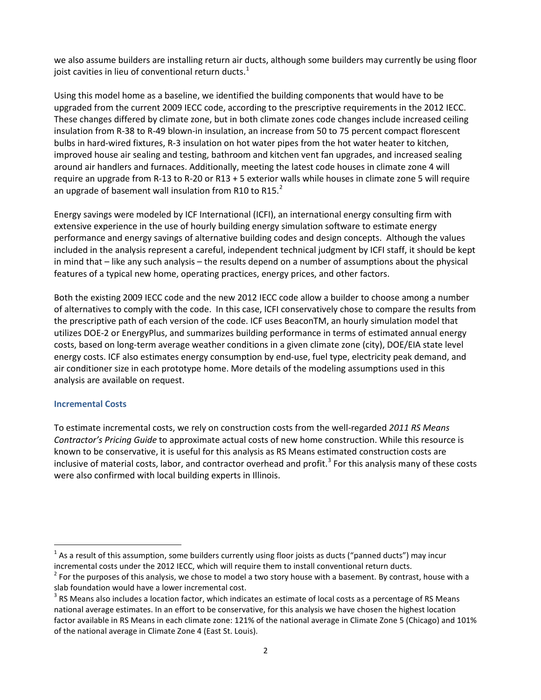we also assume builders are installing return air ducts, although some builders may currently be using floor joist cavities in lieu of conventional return ducts. $<sup>1</sup>$  $<sup>1</sup>$  $<sup>1</sup>$ </sup>

Using this model home as a baseline, we identified the building components that would have to be upgraded from the current 2009 IECC code, according to the prescriptive requirements in the 2012 IECC. These changes differed by climate zone, but in both climate zones code changes include increased ceiling insulation from R-38 to R-49 blown-in insulation, an increase from 50 to 75 percent compact florescent bulbs in hard-wired fixtures, R-3 insulation on hot water pipes from the hot water heater to kitchen, improved house air sealing and testing, bathroom and kitchen vent fan upgrades, and increased sealing around air handlers and furnaces. Additionally, meeting the latest code houses in climate zone 4 will require an upgrade from R-13 to R-20 or R13 + 5 exterior walls while houses in climate zone 5 will require an upgrade of basement wall insulation from R10 to R15. $^{2}$  $^{2}$  $^{2}$ 

Energy savings were modeled by ICF International (ICFI), an international energy consulting firm with extensive experience in the use of hourly building energy simulation software to estimate energy performance and energy savings of alternative building codes and design concepts. Although the values included in the analysis represent a careful, independent technical judgment by ICFI staff, it should be kept in mind that – like any such analysis – the results depend on a number of assumptions about the physical features of a typical new home, operating practices, energy prices, and other factors.

Both the existing 2009 IECC code and the new 2012 IECC code allow a builder to choose among a number of alternatives to comply with the code. In this case, ICFI conservatively chose to compare the results from the prescriptive path of each version of the code. ICF uses BeaconTM, an hourly simulation model that utilizes DOE-2 or EnergyPlus, and summarizes building performance in terms of estimated annual energy costs, based on long-term average weather conditions in a given climate zone (city), DOE/EIA state level energy costs. ICF also estimates energy consumption by end-use, fuel type, electricity peak demand, and air conditioner size in each prototype home. More details of the modeling assumptions used in this analysis are available on request.

#### **Incremental Costs**

To estimate incremental costs, we rely on construction costs from the well-regarded *2011 RS Means Contractor's Pricing Guide* to approximate actual costs of new home construction. While this resource is known to be conservative, it is useful for this analysis as RS Means estimated construction costs are inclusive of material costs, labor, and contractor overhead and profit.<sup>[3](#page-1-2)</sup> For this analysis many of these costs were also confirmed with local building experts in Illinois.

<span id="page-1-0"></span> $1$  As a result of this assumption, some builders currently using floor joists as ducts ("panned ducts") may incur incremental costs under the 2012 IECC, which will require them to install conventional return ducts.

<span id="page-1-1"></span> $2$  For the purposes of this analysis, we chose to model a two story house with a basement. By contrast, house with a slab foundation would have a lower incremental cost.

<span id="page-1-2"></span> $3$  RS Means also includes a location factor, which indicates an estimate of local costs as a percentage of RS Means national average estimates. In an effort to be conservative, for this analysis we have chosen the highest location factor available in RS Means in each climate zone: 121% of the national average in Climate Zone 5 (Chicago) and 101% of the national average in Climate Zone 4 (East St. Louis).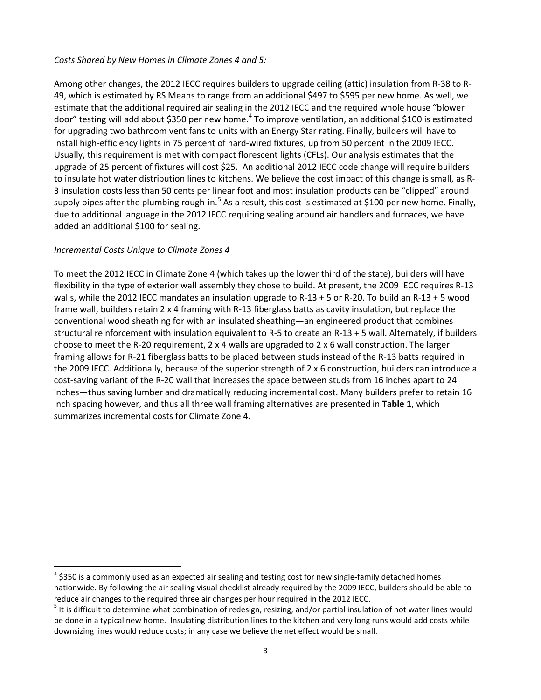#### *Costs Shared by New Homes in Climate Zones 4 and 5:*

Among other changes, the 2012 IECC requires builders to upgrade ceiling (attic) insulation from R-38 to R-49, which is estimated by RS Means to range from an additional \$497 to \$595 per new home. As well, we estimate that the additional required air sealing in the 2012 IECC and the required whole house "blower door" testing will add about \$350 per new home.<sup>[4](#page-2-0)</sup> To improve ventilation, an additional \$100 is estimated for upgrading two bathroom vent fans to units with an Energy Star rating. Finally, builders will have to install high-efficiency lights in 75 percent of hard-wired fixtures, up from 50 percent in the 2009 IECC. Usually, this requirement is met with compact florescent lights (CFLs). Our analysis estimates that the upgrade of 25 percent of fixtures will cost \$25. An additional 2012 IECC code change will require builders to insulate hot water distribution lines to kitchens. We believe the cost impact of this change is small, as R-3 insulation costs less than 50 cents per linear foot and most insulation products can be "clipped" around supply pipes after the plumbing rough-in.<sup>[5](#page-2-0)</sup> As a result, this cost is estimated at \$100 per new home. Finally, due to additional language in the 2012 IECC requiring sealing around air handlers and furnaces, we have added an additional \$100 for sealing.

#### *Incremental Costs Unique to Climate Zones 4*

To meet the 2012 IECC in Climate Zone 4 (which takes up the lower third of the state), builders will have flexibility in the type of exterior wall assembly they chose to build. At present, the 2009 IECC requires R-13 walls, while the 2012 IECC mandates an insulation upgrade to R-13 + 5 or R-20. To build an R-13 + 5 wood frame wall, builders retain 2 x 4 framing with R-13 fiberglass batts as cavity insulation, but replace the conventional wood sheathing for with an insulated sheathing—an engineered product that combines structural reinforcement with insulation equivalent to R-5 to create an R-13 + 5 wall. Alternately, if builders choose to meet the R-20 requirement, 2 x 4 walls are upgraded to 2 x 6 wall construction. The larger framing allows for R-21 fiberglass batts to be placed between studs instead of the R-13 batts required in the 2009 IECC. Additionally, because of the superior strength of 2 x 6 construction, builders can introduce a cost-saving variant of the R-20 wall that increases the space between studs from 16 inches apart to 24 inches—thus saving lumber and dramatically reducing incremental cost. Many builders prefer to retain 16 inch spacing however, and thus all three wall framing alternatives are presented in **Table 1**, which summarizes incremental costs for Climate Zone 4.

<span id="page-2-0"></span> $4$  \$350 is a commonly used as an expected air sealing and testing cost for new single-family detached homes nationwide. By following the air sealing visual checklist already required by the 2009 IECC, builders should be able to reduce air changes to the required three air changes per hour required in the 2012 IECC.

 $5$  It is difficult to determine what combination of redesign, resizing, and/or partial insulation of hot water lines would be done in a typical new home. Insulating distribution lines to the kitchen and very long runs would add costs while downsizing lines would reduce costs; in any case we believe the net effect would be small.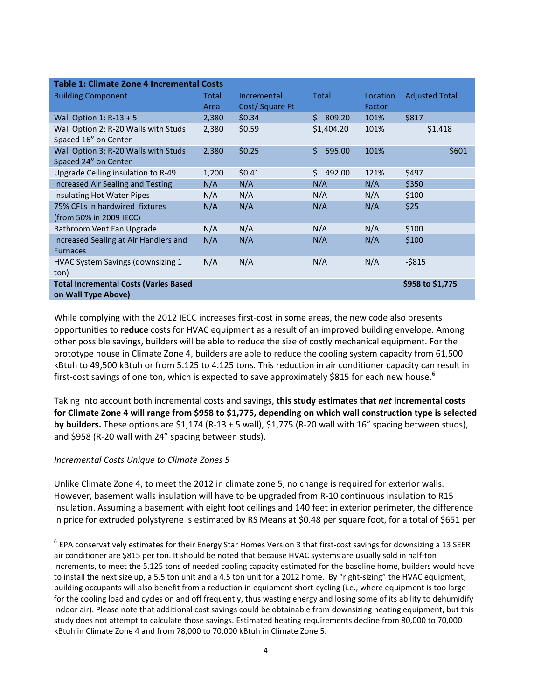| Table 1: Climate Zone 4 Incremental Costs    |              |                |              |          |                       |  |
|----------------------------------------------|--------------|----------------|--------------|----------|-----------------------|--|
| <b>Building Component</b>                    | <b>Total</b> | Incremental    | <b>Total</b> | Location | <b>Adjusted Total</b> |  |
|                                              | Area         | Cost/Square Ft |              | Factor   |                       |  |
| Wall Option 1: $R-13 + 5$                    | 2,380        | \$0.34         | Ś.<br>809.20 | 101%     | \$817                 |  |
| Wall Option 2: R-20 Walls with Studs         | 2,380        | \$0.59         | \$1,404.20   | 101%     | \$1,418               |  |
| Spaced 16" on Center                         |              |                |              |          |                       |  |
| Wall Option 3: R-20 Walls with Studs         | 2,380        | \$0.25         | Ś.<br>595.00 | 101%     | \$601                 |  |
| Spaced 24" on Center                         |              |                |              |          |                       |  |
| Upgrade Ceiling insulation to R-49           | 1,200        | \$0.41         | 492.00<br>\$ | 121%     | \$497                 |  |
| Increased Air Sealing and Testing            | N/A          | N/A            | N/A          | N/A      | \$350                 |  |
| Insulating Hot Water Pipes                   | N/A          | N/A            | N/A          | N/A      | \$100                 |  |
| 75% CFLs in hardwired fixtures               | N/A          | N/A            | N/A          | N/A      | \$25                  |  |
| (from 50% in 2009 IECC)                      |              |                |              |          |                       |  |
| Bathroom Vent Fan Upgrade                    | N/A          | N/A            | N/A          | N/A      | \$100                 |  |
| Increased Sealing at Air Handlers and        | N/A          | N/A            | N/A          | N/A      | \$100                 |  |
| <b>Furnaces</b>                              |              |                |              |          |                       |  |
| HVAC System Savings (downsizing 1            | N/A          | N/A            | N/A          | N/A      | $-$ \$815             |  |
| ton)                                         |              |                |              |          |                       |  |
| <b>Total Incremental Costs (Varies Based</b> |              |                |              |          | \$958 to \$1,775      |  |
| on Wall Type Above)                          |              |                |              |          |                       |  |

While complying with the 2012 IECC increases first-cost in some areas, the new code also presents opportunities to **reduce** costs for HVAC equipment as a result of an improved building envelope. Among other possible savings, builders will be able to reduce the size of costly mechanical equipment. For the prototype house in Climate Zone 4, builders are able to reduce the cooling system capacity from 61,500 kBtuh to 49,500 kBtuh or from 5.125 to 4.125 tons. This reduction in air conditioner capacity can result in first-cost savings of one ton, which is expected to save approximately \$815 for each new house.<sup>[6](#page-3-0)</sup>

Taking into account both incremental costs and savings, **this study estimates that** *net* **incremental costs for Climate Zone 4 will range from \$958 to \$1,775, depending on which wall construction type is selected by builders.** These options are \$1,174 (R-13 + 5 wall), \$1,775 (R-20 wall with 16" spacing between studs), and \$958 (R-20 wall with 24" spacing between studs).

#### *Incremental Costs Unique to Climate Zones 5*

Unlike Climate Zone 4, to meet the 2012 in climate zone 5, no change is required for exterior walls. However, basement walls insulation will have to be upgraded from R-10 continuous insulation to R15 insulation. Assuming a basement with eight foot ceilings and 140 feet in exterior perimeter, the difference in price for extruded polystyrene is estimated by RS Means at \$0.48 per square foot, for a total of \$651 per

<span id="page-3-0"></span> $^6$  EPA conservatively estimates for their Energy Star Homes Version 3 that first-cost savings for downsizing a 13 SEER air conditioner are \$815 per ton. It should be noted that because HVAC systems are usually sold in half-ton increments, to meet the 5.125 tons of needed cooling capacity estimated for the baseline home, builders would have to install the next size up, a 5.5 ton unit and a 4.5 ton unit for a 2012 home. By "right-sizing" the HVAC equipment, building occupants will also benefit from a reduction in equipment short-cycling (i.e., where equipment is too large for the cooling load and cycles on and off frequently, thus wasting energy and losing some of its ability to dehumidify indoor air). Please note that additional cost savings could be obtainable from downsizing heating equipment, but this study does not attempt to calculate those savings. Estimated heating requirements decline from 80,000 to 70,000 kBtuh in Climate Zone 4 and from 78,000 to 70,000 kBtuh in Climate Zone 5.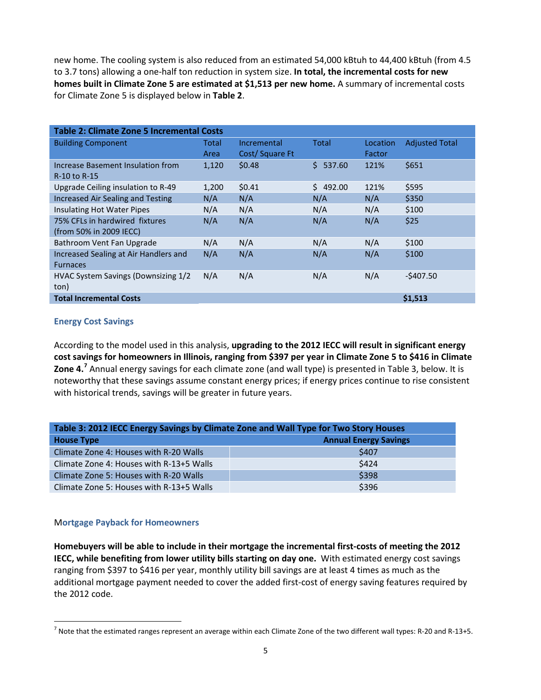new home. The cooling system is also reduced from an estimated 54,000 kBtuh to 44,400 kBtuh (from 4.5 to 3.7 tons) allowing a one-half ton reduction in system size. **In total, the incremental costs for new homes built in Climate Zone 5 are estimated at \$1,513 per new home.** A summary of incremental costs for Climate Zone 5 is displayed below in **Table 2**.

| <b>Table 2: Climate Zone 5 Incremental Costs</b> |       |                |              |          |                       |  |
|--------------------------------------------------|-------|----------------|--------------|----------|-----------------------|--|
| <b>Building Component</b>                        | Total | Incremental    | Total        | Location | <b>Adjusted Total</b> |  |
|                                                  | Area  | Cost/Square Ft |              | Factor   |                       |  |
| Increase Basement Insulation from                | 1,120 | \$0.48         | Ŝ.<br>537.60 | 121%     | \$651                 |  |
| R-10 to R-15                                     |       |                |              |          |                       |  |
| Upgrade Ceiling insulation to R-49               | 1,200 | \$0.41         | 492.00<br>Ś. | 121%     | \$595                 |  |
| Increased Air Sealing and Testing                | N/A   | N/A            | N/A          | N/A      | \$350                 |  |
| Insulating Hot Water Pipes                       | N/A   | N/A            | N/A          | N/A      | \$100                 |  |
| 75% CFLs in hardwired fixtures                   | N/A   | N/A            | N/A          | N/A      | \$25                  |  |
| (from 50% in 2009 IECC)                          |       |                |              |          |                       |  |
| Bathroom Vent Fan Upgrade                        | N/A   | N/A            | N/A          | N/A      | \$100                 |  |
| Increased Sealing at Air Handlers and            | N/A   | N/A            | N/A          | N/A      | \$100                 |  |
| <b>Furnaces</b>                                  |       |                |              |          |                       |  |
| HVAC System Savings (Downsizing 1/2              | N/A   | N/A            | N/A          | N/A      | $-$407.50$            |  |
| ton)                                             |       |                |              |          |                       |  |
| <b>Total Incremental Costs</b>                   |       |                |              |          | \$1,513               |  |

#### **Energy Cost Savings**

According to the model used in this analysis, **upgrading to the 2012 IECC will result in significant energy cost savings for homeowners in Illinois, ranging from \$397 per year in Climate Zone 5 to \$416 in Climate Zone 4.[7](#page-4-0)** Annual energy savings for each climate zone (and wall type) is presented in Table 3, below. It is noteworthy that these savings assume constant energy prices; if energy prices continue to rise consistent with historical trends, savings will be greater in future years.

| Table 3: 2012 IECC Energy Savings by Climate Zone and Wall Type for Two Story Houses |                              |  |  |  |
|--------------------------------------------------------------------------------------|------------------------------|--|--|--|
| <b>House Type</b>                                                                    | <b>Annual Energy Savings</b> |  |  |  |
| Climate Zone 4: Houses with R-20 Walls                                               | \$407                        |  |  |  |
| Climate Zone 4: Houses with R-13+5 Walls                                             | \$424                        |  |  |  |
| Climate Zone 5: Houses with R-20 Walls                                               | \$398                        |  |  |  |
| Climate Zone 5: Houses with R-13+5 Walls                                             | \$396                        |  |  |  |

#### M**ortgage Payback for Homeowners**

**Homebuyers will be able to include in their mortgage the incremental first-costs of meeting the 2012 IECC, while benefiting from lower utility bills starting on day one.** With estimated energy cost savings ranging from \$397 to \$416 per year, monthly utility bill savings are at least 4 times as much as the additional mortgage payment needed to cover the added first-cost of energy saving features required by the 2012 code.

<span id="page-4-0"></span> $^7$  Note that the estimated ranges represent an average within each Climate Zone of the two different wall types: R-20 and R-13+5.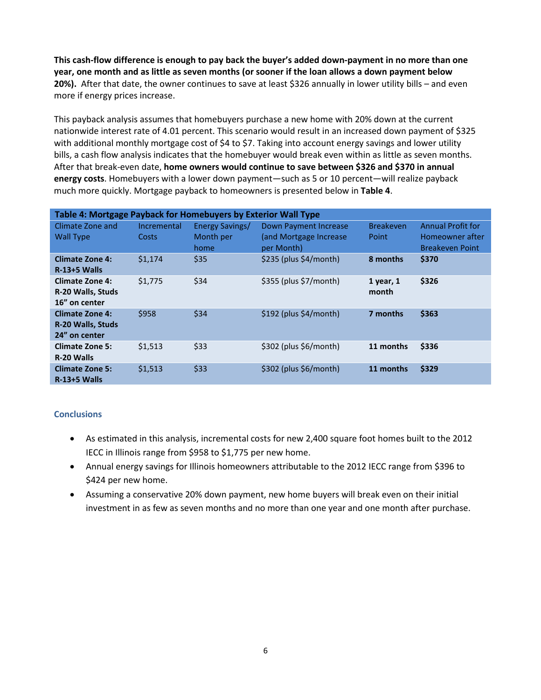**This cash-flow difference is enough to pay back the buyer's added down-payment in no more than one year, one month and as little as seven months (or sooner if the loan allows a down payment below 20%).** After that date, the owner continues to save at least \$326 annually in lower utility bills – and even more if energy prices increase.

This payback analysis assumes that homebuyers purchase a new home with 20% down at the current nationwide interest rate of 4.01 percent. This scenario would result in an increased down payment of \$325 with additional monthly mortgage cost of \$4 to \$7. Taking into account energy savings and lower utility bills, a cash flow analysis indicates that the homebuyer would break even within as little as seven months. After that break-even date, **home owners would continue to save between \$326 and \$370 in annual energy costs**. Homebuyers with a lower down payment—such as 5 or 10 percent—will realize payback much more quickly. Mortgage payback to homeowners is presented below in **Table 4**.

| Table 4: Mortgage Payback for Homebuyers by Exterior Wall Type      |                      |                                      |                                                                |                           |                                                                       |  |  |
|---------------------------------------------------------------------|----------------------|--------------------------------------|----------------------------------------------------------------|---------------------------|-----------------------------------------------------------------------|--|--|
| Climate Zone and<br><b>Wall Type</b>                                | Incremental<br>Costs | Energy Savings/<br>Month per<br>home | Down Payment Increase<br>(and Mortgage Increase)<br>per Month) | <b>Breakeven</b><br>Point | <b>Annual Profit for</b><br>Homeowner after<br><b>Breakeven Point</b> |  |  |
| <b>Climate Zone 4:</b><br>$R-13+5$ Walls                            | \$1,174              | \$35                                 | \$235 (plus \$4/month)                                         | 8 months                  | \$370                                                                 |  |  |
| <b>Climate Zone 4:</b><br>R-20 Walls, Studs<br>16" on center        | \$1,775              | \$34                                 | \$355 (plus \$7/month)                                         | $1$ year, $1$<br>month    | \$326                                                                 |  |  |
| <b>Climate Zone 4:</b><br><b>R-20 Walls, Studs</b><br>24" on center | \$958                | \$34                                 | $$192$ (plus $$4/m$ onth)                                      | 7 months                  | \$363                                                                 |  |  |
| <b>Climate Zone 5:</b><br>R-20 Walls                                | \$1,513              | \$33                                 | \$302 (plus \$6/month)                                         | 11 months                 | \$336                                                                 |  |  |
| <b>Climate Zone 5:</b><br>$R-13+5$ Walls                            | \$1,513              | \$33                                 | \$302 (plus \$6/month)                                         | 11 months                 | \$329                                                                 |  |  |

#### **Conclusions**

- As estimated in this analysis, incremental costs for new 2,400 square foot homes built to the 2012 IECC in Illinois range from \$958 to \$1,775 per new home.
- Annual energy savings for Illinois homeowners attributable to the 2012 IECC range from \$396 to \$424 per new home.
- Assuming a conservative 20% down payment, new home buyers will break even on their initial investment in as few as seven months and no more than one year and one month after purchase.